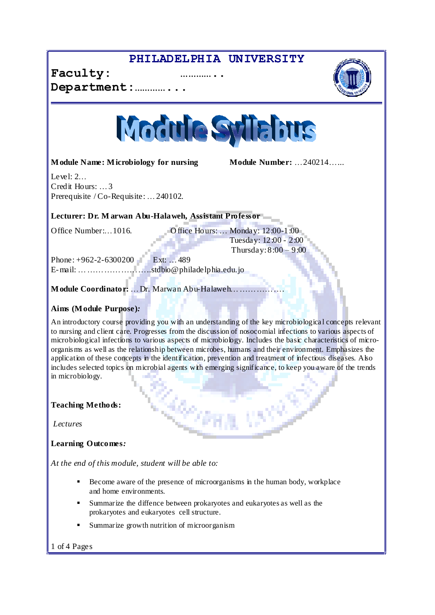## **PHILADELPHIA UNIVERSITY**







**Module Name: Microbiology for nursing <b>Module Number:**  $\dots$  240214 $\dots$ 

Level:  $2\ldots$ Credit Hours: ... 3 Prerequisite /  $Co$ -Requisite:  $\dots$  240102.

**Lecturer: Dr. M arwan Abu-Halaweh, Assistant Professor**

Office Number:...  $1016$ . Office Hours:  $\ldots$  Monday:  $12:00-1:00$ Tuesday: 12:00 - 2:00 Thursday:  $8:00 - 9:00$ 

Phone:  $+962-2-6300200$  Ext:  $\ldots$  489 E-mail: ÖÖÖÖÖÖÖÖ..stdbio@philadelphia.edu.jo

**Module Coordinator:** ... Dr. Marwan Abu-Halaweh...............

### **Aims (Module Purpose)***:*

An introductory course providing you with an understanding of the key microbiologica l concepts relevant to nursing and client care. Progresses from the discussion of nosocomial infections to various aspects of microbiological infections to various aspects of microbiology. Includes the basic characteristics of microorganisms as well as the relationship between microbes, humans and their environment. Emphasizes the application of these concepts in the identification, prevention and treatment of infectious diseases. Also includes selected topics on microbial agents with emerging significance, to keep you aware of the trends in microbiology.

**Teaching Methods:**

*Lectures*

**Learning Outcomes***:*

*At the end of this module, student will be able to:*

- Become aware of the presence of microorganisms in the human body, workplace and home environments.
- Summarize the diffence between prokaryotes and eukaryotes as well as the prokaryotes and eukaryotes cell structure.
- Summarize growth nutrition of microorganism

1 of 4 Pages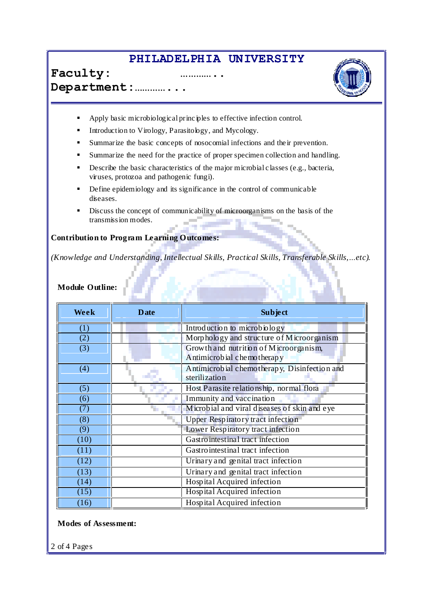## **PHILADELPHIA UNIVERSITY**





- Apply basic microbiological principles to effective infection control.
- Introduction to Virology, Parasitology, and Mycology.
- Summarize the basic concepts of nosocomial infections and the ir prevention.
- Summarize the need for the practice of proper specimen collection and handling.
- Describe the basic characteristics of the major microbial classes (e.g., bacteria, viruses, protozoa and pathogenic fungi).
- Define epidemiology and its significance in the control of communicable diseases.
- Discuss the concept of communicability of microorganisms on the basis of the transmission modes.

#### **Contribution to Program Learning Outcomes:**

*(Knowledge and Understanding, Intellectual Skills, Practical Skills, Transferable Skills, ...etc).* 

## **Module Outline:**

| Week | <b>Date</b>                                  | <b>Subject</b>                               |  |
|------|----------------------------------------------|----------------------------------------------|--|
| (1)  |                                              | Introduction to microbiology                 |  |
| (2)  |                                              | Morphology and structure of Microorganism    |  |
| (3)  |                                              | Growth and nutrition of Microorganism,       |  |
|      |                                              | Antimicrobial chemotherapy                   |  |
| (4)  | Antimicrobial chemotherapy, Disinfection and |                                              |  |
|      |                                              | sterilization                                |  |
| (5)  |                                              | Host Parasite relationship, normal flora     |  |
| (6)  |                                              | Immunity and vaccination                     |  |
| (7)  |                                              | Microbial and viral diseases of skin and eye |  |
| (8)  |                                              | Upper Respiratory tract infection            |  |
| (9)  |                                              | Lower Respiratory tract infection            |  |
| (10) |                                              | Gastro intestinal tract infection            |  |
| (11) |                                              | Gastro intestinal tract infection            |  |
| (12) |                                              | Urinary and genital tract infection          |  |
| (13) |                                              | Urinary and genital tract infection          |  |
| (14) |                                              | Hospital Acquired infection                  |  |
| (15) |                                              | Hospital Acquired infection                  |  |
| (16) |                                              | Hospital Acquired infection                  |  |

#### **Modes of Assessment:**

2 of 4 Pages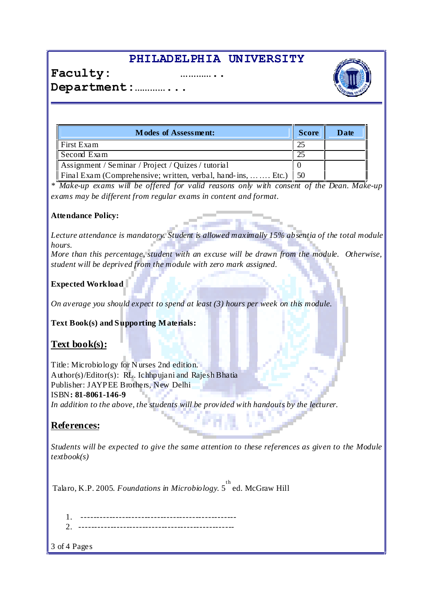# **PHILADELPHIA UNIVERSITY**





Department:...............

| <b>Modes of Assessment:</b>                                           |  | Date |
|-----------------------------------------------------------------------|--|------|
| First Exam                                                            |  |      |
| Second Exam                                                           |  |      |
| Assignment / Seminar / Project / Quizes / tutorial                    |  |      |
| Final Exam (Comprehensive; written, verbal, hand-ins,   Etc.)<br>1,50 |  |      |

*\* Make-up exams will be offered for valid reasons only with consent of the Dean. Make-up exams may be different from regular exams in content and format.*

### **Attendance Policy:**

*Lecture attendance is mandatory. Student is allowed maximally 15% absentia of the total module hours.*

*More than this percentage, student with an excuse will be drawn from the module. Otherwise, student will be deprived from the module with zero mark assigned.*

### **Expected Workload**

*On average you should expect to spend at least (3) hours per week on this module.*

**Text Book(s) and Supporting Materials:**

### **Text book(s):**

Title: Microbiology for N urses 2nd edition. Author(s)/Editor(s): RL. Ichhpujani and RajeshBhatia Publisher: JAYPEE Brothers, New Delhi ISBN**: 81-8061-146-9**

*In addition to the above, the students will be provided with handouts by the lecturer.*

### **References:**

*Students will be expected to give the same attention to these references as given to the Module textbook(s)*

Talaro, K.P. 2005. *Foundations in Microbiology*. 5 th ed. McGraw Hill

1. ------------------------------------------------- 2. -------------------------------------------------

3 of 4 Pages